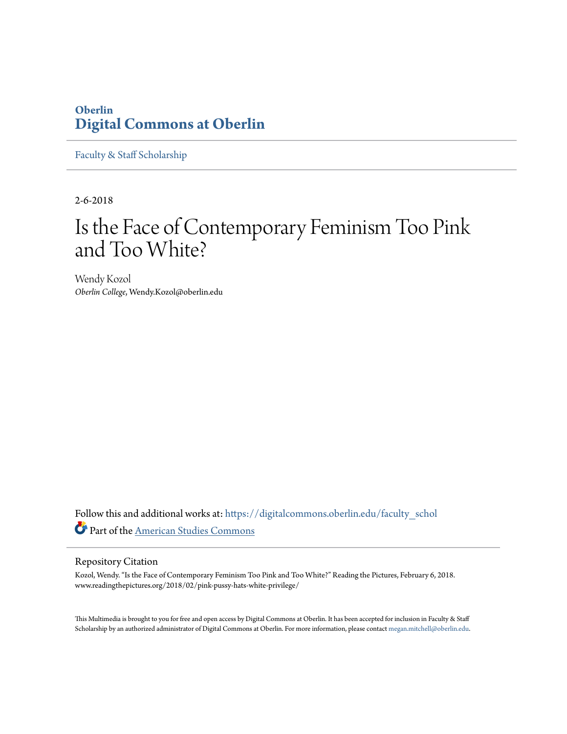## **Oberlin [Digital Commons at Oberlin](https://digitalcommons.oberlin.edu?utm_source=digitalcommons.oberlin.edu%2Ffaculty_schol%2F3853&utm_medium=PDF&utm_campaign=PDFCoverPages)**

[Faculty & Staff Scholarship](https://digitalcommons.oberlin.edu/faculty_schol?utm_source=digitalcommons.oberlin.edu%2Ffaculty_schol%2F3853&utm_medium=PDF&utm_campaign=PDFCoverPages)

2-6-2018

## Is the Face of Contemporary Feminism Too Pink and Too White?

Wendy Kozol *Oberlin College*, Wendy.Kozol@oberlin.edu

Follow this and additional works at: [https://digitalcommons.oberlin.edu/faculty\\_schol](https://digitalcommons.oberlin.edu/faculty_schol?utm_source=digitalcommons.oberlin.edu%2Ffaculty_schol%2F3853&utm_medium=PDF&utm_campaign=PDFCoverPages) Part of the [American Studies Commons](http://network.bepress.com/hgg/discipline/439?utm_source=digitalcommons.oberlin.edu%2Ffaculty_schol%2F3853&utm_medium=PDF&utm_campaign=PDFCoverPages)

## Repository Citation

Kozol, Wendy. "Is the Face of Contemporary Feminism Too Pink and Too White?" Reading the Pictures, February 6, 2018. www.readingthepictures.org/2018/02/pink-pussy-hats-white-privilege/

This Multimedia is brought to you for free and open access by Digital Commons at Oberlin. It has been accepted for inclusion in Faculty & Staff Scholarship by an authorized administrator of Digital Commons at Oberlin. For more information, please contact [megan.mitchell@oberlin.edu.](mailto:megan.mitchell@oberlin.edu)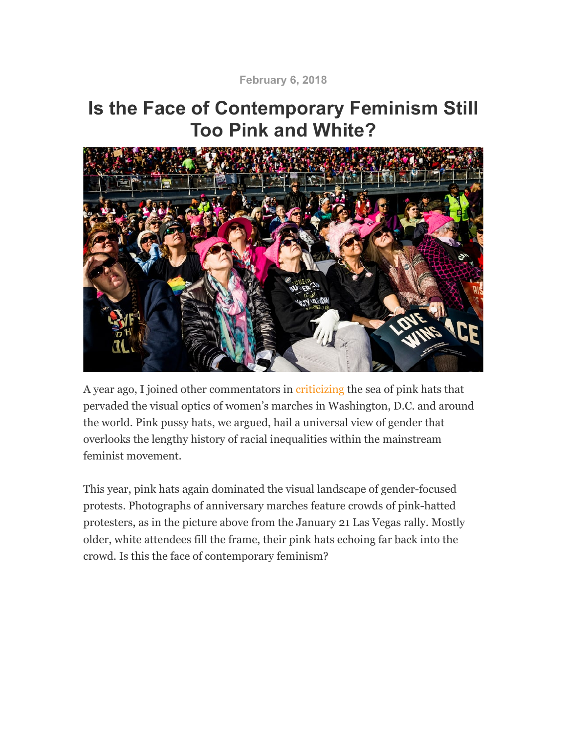**February 6, 2018**

## **Is the Face of Contemporary Feminism Still Too Pink and White?**



A year ago, I joined other commentators in criticizing the sea of pink hats that pervaded the visual optics of women's marches in Washington, D.C. and around the world. Pink pussy hats, we argued, hail a universal view of gender that overlooks the lengthy history of racial inequalities within the mainstream feminist movement.

This year, pink hats again dominated the visual landscape of gender-focused protests. Photographs of anniversary marches feature crowds of pink-hatted protesters, as in the picture above from the January 21 Las Vegas rally. Mostly older, white attendees fill the frame, their pink hats echoing far back into the crowd. Is this the face of contemporary feminism?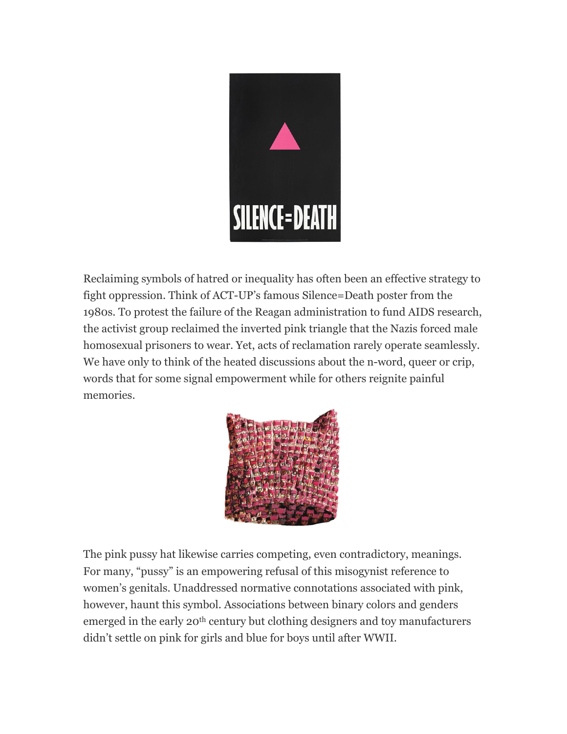

Reclaiming symbols of hatred or inequality has often been an effective strategy to fight oppression. Think of ACT-UP's famous Silence=Death poster from the 1980s. To protest the failure of the Reagan administration to fund AIDS research, the activist group reclaimed the inverted pink triangle that the Nazis forced male homosexual prisoners to wear. Yet, acts of reclamation rarely operate seamlessly. We have only to think of the heated discussions about the n-word, queer or crip, words that for some signal empowerment while for others reignite painful memories.



The pink pussy hat likewise carries competing, even contradictory, meanings. For many, "pussy" is an empowering refusal of this misogynist reference to women's genitals. Unaddressed normative connotations associated with pink, however, haunt this symbol. Associations between binary colors and genders emerged in the early 20<sup>th</sup> century but clothing designers and toy manufacturers didn't settle on pink for girls and blue for boys until after WWII.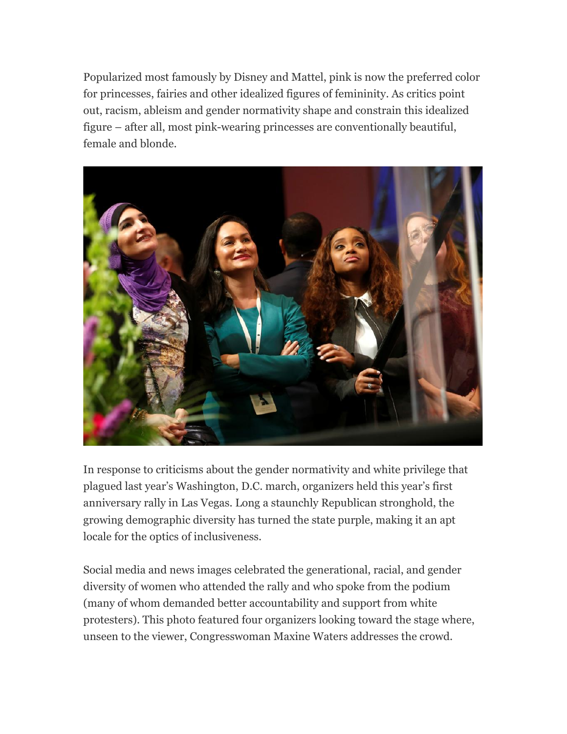Popularized most famously by Disney and Mattel, pink is now the preferred color for princesses, fairies and other idealized figures of femininity. As critics point out, racism, ableism and gender normativity shape and constrain this idealized figure – after all, most pink-wearing princesses are conventionally beautiful, female and blonde.



In response to criticisms about the gender normativity and white privilege that plagued last year's Washington, D.C. march, organizers held this year's first anniversary rally in Las Vegas. Long a staunchly Republican stronghold, the growing demographic diversity has turned the state purple, making it an apt locale for the optics of inclusiveness.

Social media and news images celebrated the generational, racial, and gender diversity of women who attended the rally and who spoke from the podium (many of whom demanded better accountability and support from white protesters). This photo featured four organizers looking toward the stage where, unseen to the viewer, Congresswoman Maxine Waters addresses the crowd.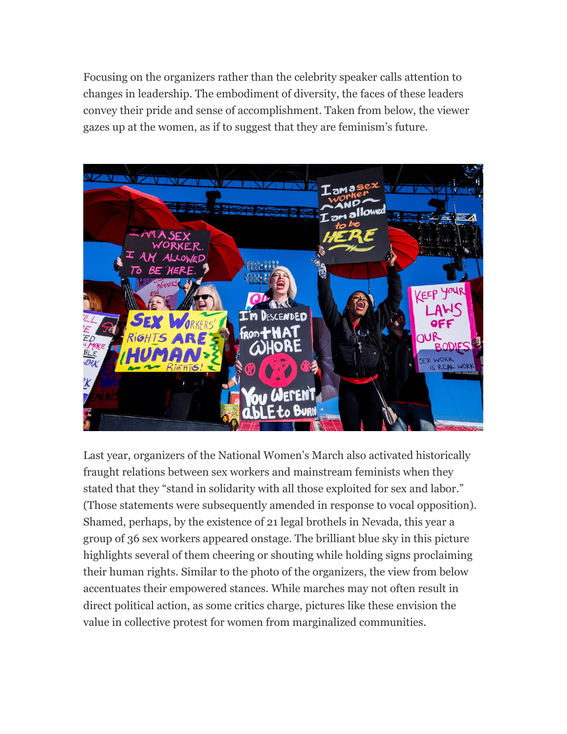Focusing on the organizers rather than the celebrity speaker calls attention to changes in leadership. The embodiment of diversity, the faces of these leaders convey their pride and sense of accomplishment. Taken from below, the viewer gazes up at the women, as if to suggest that they are feminism's future.



Last year, organizers of the National Women's March also activated historically fraught relations between sex workers and mainstream feminists when they stated that they "stand in solidarity with all those exploited for sex and labor." (Those statements were subsequently amended in response to vocal opposition). Shamed, perhaps, by the existence of 21 legal brothels in Nevada, this year a group of 36 sex workers appeared onstage. The brilliant blue sky in this picture highlights several of them cheering or shouting while holding signs proclaiming their human rights. Similar to the photo of the organizers, the view from below accentuates their empowered stances. While marches may not often result in direct political action, as some critics charge, pictures like these envision the value in collective protest for women from marginalized communities.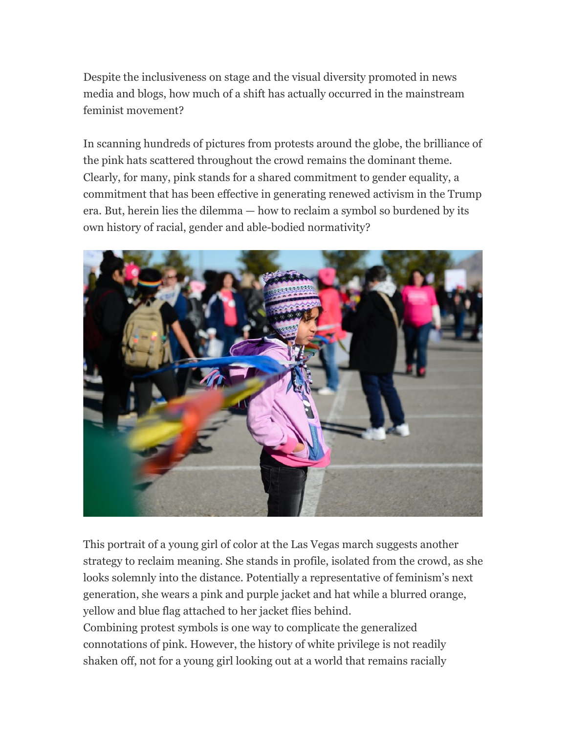Despite the inclusiveness on stage and the visual diversity promoted in news media and blogs, how much of a shift has actually occurred in the mainstream feminist movement?

In scanning hundreds of pictures from protests around the globe, the brilliance of the pink hats scattered throughout the crowd remains the dominant theme. Clearly, for many, pink stands for a shared commitment to gender equality, a commitment that has been effective in generating renewed activism in the Trump era. But, herein lies the dilemma — how to reclaim a symbol so burdened by its own history of racial, gender and able-bodied normativity?



This portrait of a young girl of color at the Las Vegas march suggests another strategy to reclaim meaning. She stands in profile, isolated from the crowd, as she looks solemnly into the distance. Potentially a representative of feminism's next generation, she wears a pink and purple jacket and hat while a blurred orange, yellow and blue flag attached to her jacket flies behind. Combining protest symbols is one way to complicate the generalized connotations of pink. However, the history of white privilege is not readily

shaken off, not for a young girl looking out at a world that remains racially